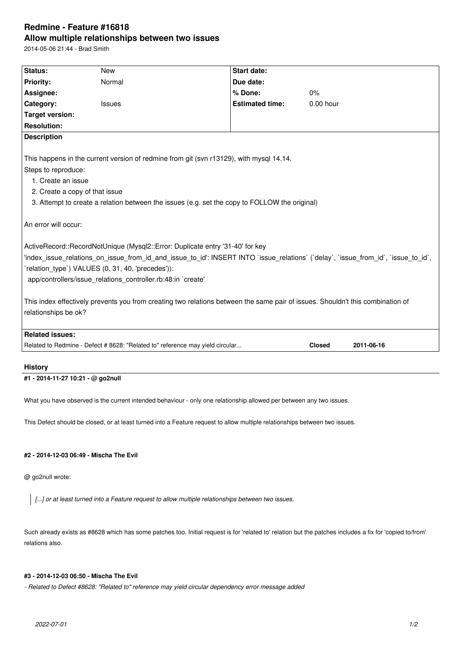## **Redmine - Feature #16818 Allow multiple relationships between two issues**

2014-05-06 21:44 - Brad Smith

| Status:                                                                                                                                                                                                                                                                 | <b>New</b>                                                                    |  | <b>Start date:</b>     |               |            |                                                                                                                                                                                                                    |  |  |  |  |  |
|-------------------------------------------------------------------------------------------------------------------------------------------------------------------------------------------------------------------------------------------------------------------------|-------------------------------------------------------------------------------|--|------------------------|---------------|------------|--------------------------------------------------------------------------------------------------------------------------------------------------------------------------------------------------------------------|--|--|--|--|--|
| Priority:                                                                                                                                                                                                                                                               | Normal                                                                        |  | Due date:              |               |            |                                                                                                                                                                                                                    |  |  |  |  |  |
| Assignee:                                                                                                                                                                                                                                                               |                                                                               |  | % Done:                | 0%            |            |                                                                                                                                                                                                                    |  |  |  |  |  |
| Category:                                                                                                                                                                                                                                                               | <b>Issues</b>                                                                 |  | <b>Estimated time:</b> | $0.00$ hour   |            |                                                                                                                                                                                                                    |  |  |  |  |  |
| <b>Target version:</b>                                                                                                                                                                                                                                                  |                                                                               |  |                        |               |            |                                                                                                                                                                                                                    |  |  |  |  |  |
| <b>Resolution:</b>                                                                                                                                                                                                                                                      |                                                                               |  |                        |               |            |                                                                                                                                                                                                                    |  |  |  |  |  |
| <b>Description</b>                                                                                                                                                                                                                                                      |                                                                               |  |                        |               |            |                                                                                                                                                                                                                    |  |  |  |  |  |
|                                                                                                                                                                                                                                                                         |                                                                               |  |                        |               |            |                                                                                                                                                                                                                    |  |  |  |  |  |
| This happens in the current version of redmine from git (svn r13129), with mysql 14.14.<br>Steps to reproduce:<br>1. Create an issue<br>2. Create a copy of that issue<br>3. Attempt to create a relation between the issues (e.g. set the copy to FOLLOW the original) |                                                                               |  |                        |               |            |                                                                                                                                                                                                                    |  |  |  |  |  |
|                                                                                                                                                                                                                                                                         |                                                                               |  |                        |               |            |                                                                                                                                                                                                                    |  |  |  |  |  |
|                                                                                                                                                                                                                                                                         |                                                                               |  |                        |               |            | An error will occur:                                                                                                                                                                                               |  |  |  |  |  |
|                                                                                                                                                                                                                                                                         |                                                                               |  |                        |               |            |                                                                                                                                                                                                                    |  |  |  |  |  |
|                                                                                                                                                                                                                                                                         |                                                                               |  |                        |               |            | ActiveRecord::RecordNotUnique (Mysql2::Error: Duplicate entry '31-40' for key<br>'index issue relations on issue from id and issue to id': INSERT INTO `issue relations` (`delay`, `issue from id`, `issue to id`, |  |  |  |  |  |
| 'relation type') VALUES (0, 31, 40, 'precedes')):                                                                                                                                                                                                                       |                                                                               |  |                        |               |            |                                                                                                                                                                                                                    |  |  |  |  |  |
| app/controllers/issue_relations_controller.rb:48:in `create'                                                                                                                                                                                                            |                                                                               |  |                        |               |            |                                                                                                                                                                                                                    |  |  |  |  |  |
|                                                                                                                                                                                                                                                                         |                                                                               |  |                        |               |            |                                                                                                                                                                                                                    |  |  |  |  |  |
| This index effectively prevents you from creating two relations between the same pair of issues. Shouldn't this combination of                                                                                                                                          |                                                                               |  |                        |               |            |                                                                                                                                                                                                                    |  |  |  |  |  |
| relationships be ok?                                                                                                                                                                                                                                                    |                                                                               |  |                        |               |            |                                                                                                                                                                                                                    |  |  |  |  |  |
|                                                                                                                                                                                                                                                                         |                                                                               |  |                        |               |            |                                                                                                                                                                                                                    |  |  |  |  |  |
| <b>Related issues:</b>                                                                                                                                                                                                                                                  |                                                                               |  |                        |               |            |                                                                                                                                                                                                                    |  |  |  |  |  |
|                                                                                                                                                                                                                                                                         | Related to Redmine - Defect # 8628: "Related to" reference may yield circular |  |                        | <b>Closed</b> | 2011-06-16 |                                                                                                                                                                                                                    |  |  |  |  |  |
|                                                                                                                                                                                                                                                                         |                                                                               |  |                        |               |            |                                                                                                                                                                                                                    |  |  |  |  |  |
| <b>History</b>                                                                                                                                                                                                                                                          |                                                                               |  |                        |               |            |                                                                                                                                                                                                                    |  |  |  |  |  |

**#1 - 2014-11-27 10:21 - @ go2null**

What you have observed is the current intended behaviour - only one relationship allowed per between any two issues.

This Defect should be closed, or at least turned into a Feature request to allow multiple relationships between two issues.

## **#2 - 2014-12-03 06:49 - Mischa The Evil**

@ go2null wrote:

*[...] or at least turned into a Feature request to allow multiple relationships between two issues.*

Such already exists as #8628 which has some patches too. Initial request is for 'related to' relation but the patches includes a fix for 'copied to/from' relations also.

## **#3 - 2014-12-03 06:50 - Mischa The Evil**

*- Related to Defect #8628: "Related to" reference may yield circular dependency error message added*